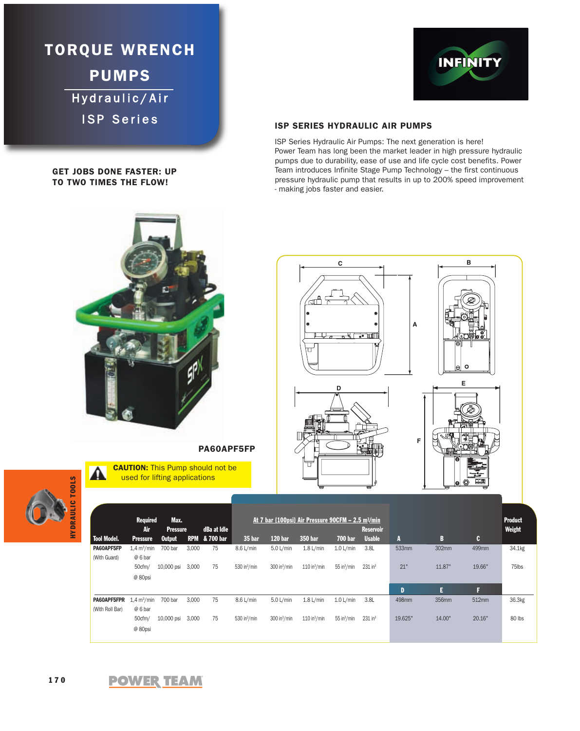**TORQUE WRENCH PUMPS** Hydraulic/Air ISP Series

### **GET JOBS DONE FASTER: UP TO TWO TIMES THE FLOW!**



## **ISP SERIES HYDRAULIC AIR PUMPS**

ISP Series Hydraulic Air Pumps: The next generation is here! Power Team has long been the market leader in high pressure hydraulic pumps due to durability, ease of use and life cycle cost benefits. Power Team introduces Infinite Stage Pump Technology – the first continuous pressure hydraulic pump that results in up to 200% speed improvement - making jobs faster and easier.





**Required Max. At 7 bar (100psi) Air Pressure 90CFM – 2.5 m3/min Product Air Pressure dBa at Idle Reservoir Weight Tool Model. Pressure Output RPM & 700 bar 35 bar 120 bar 350 bar 700 bar Usable A BC PA60APF5FP** 1,4 m3/min 700 bar 3,000 75 8.6 L/min 5.0 L/min 1.8 L/min 1.0 L/min 3.8L 533mm 302mm 499mm 34.1kg (With Guard) @ 6 bar 50cfm/ 10,000 psi 3,000 75 530 in3/min 300 in3/min 110 in3/min 55 in3/min 231 in3 21" 11.87" 19.66" 75lbs @ 80psi **D EF PA60APF5FPR** 1,4 m3/min 700 bar 3,000 75 8.6 L/min 5.0 L/min 1.8 L/min 1.0 L/min 3.8L 498mm 356mm 512mm 36.3kg (With Roll Bar) @ 6 bar 50cfm/ 10,000 psi 3,000 75 530 in3/min 300 in3/min 110 in3/min 55 in3/min 231 in3 19.625" 14.00" 20.16" 80 lbs @ 80psi

**PA60APF5FP**

**CAUTION:** This Pump should not be used for lifting applications